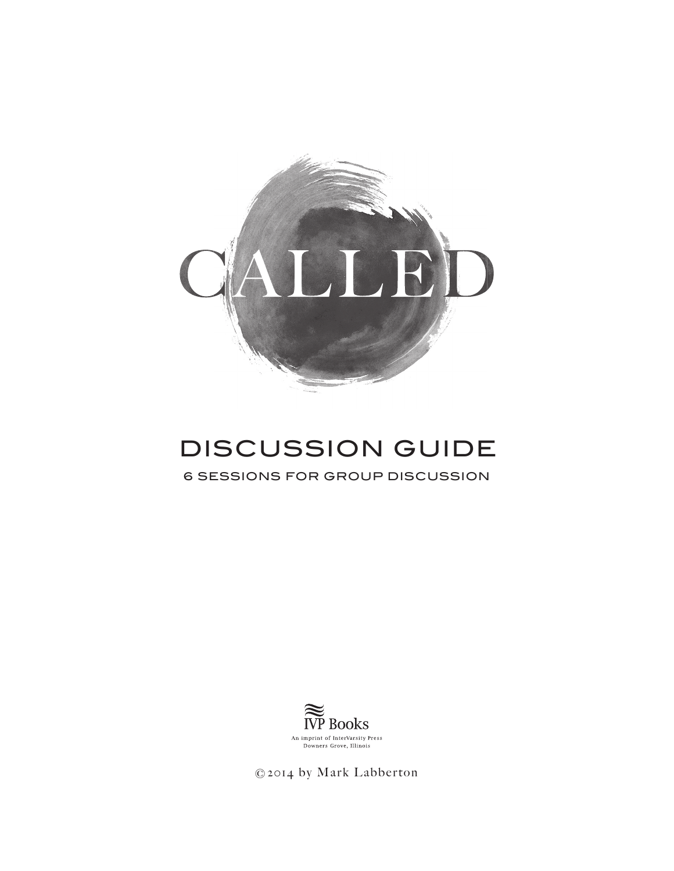

# DISCUSSION GUIDE

6 SESSIONS FOR GROUP DISCUSSION



©2014 by Mark Labberton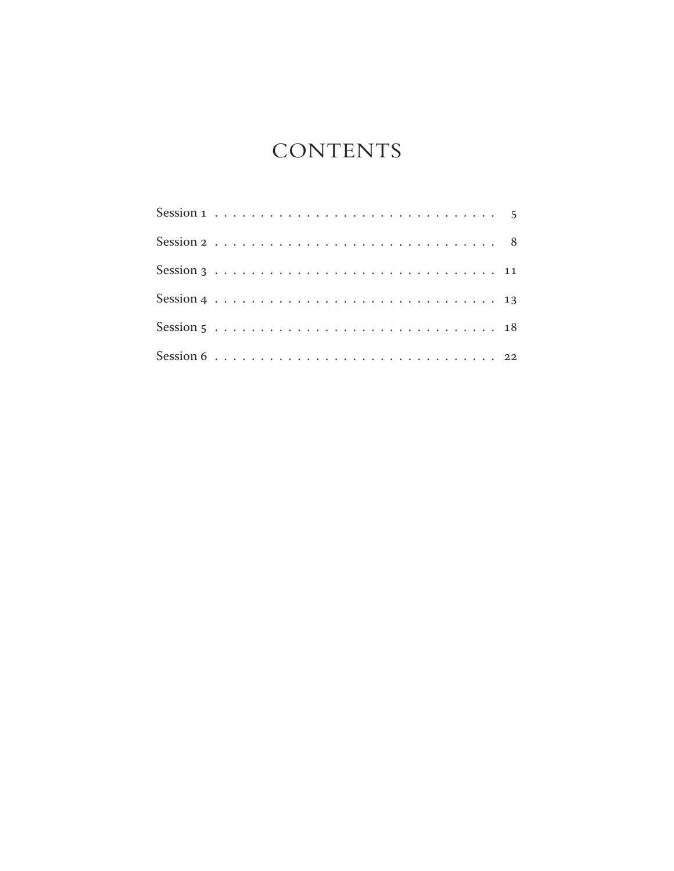## **CONTENTS**

| Session $3 \ldots \ldots \ldots \ldots \ldots \ldots \ldots \ldots \ldots \ldots \ldots 11$ |  |  |  |  |  |  |  |  |  |  |  |  |  |  |  |  |
|---------------------------------------------------------------------------------------------|--|--|--|--|--|--|--|--|--|--|--|--|--|--|--|--|
|                                                                                             |  |  |  |  |  |  |  |  |  |  |  |  |  |  |  |  |
|                                                                                             |  |  |  |  |  |  |  |  |  |  |  |  |  |  |  |  |
| Session 6 $\ldots \ldots \ldots \ldots \ldots \ldots \ldots \ldots \ldots \ldots \ldots 22$ |  |  |  |  |  |  |  |  |  |  |  |  |  |  |  |  |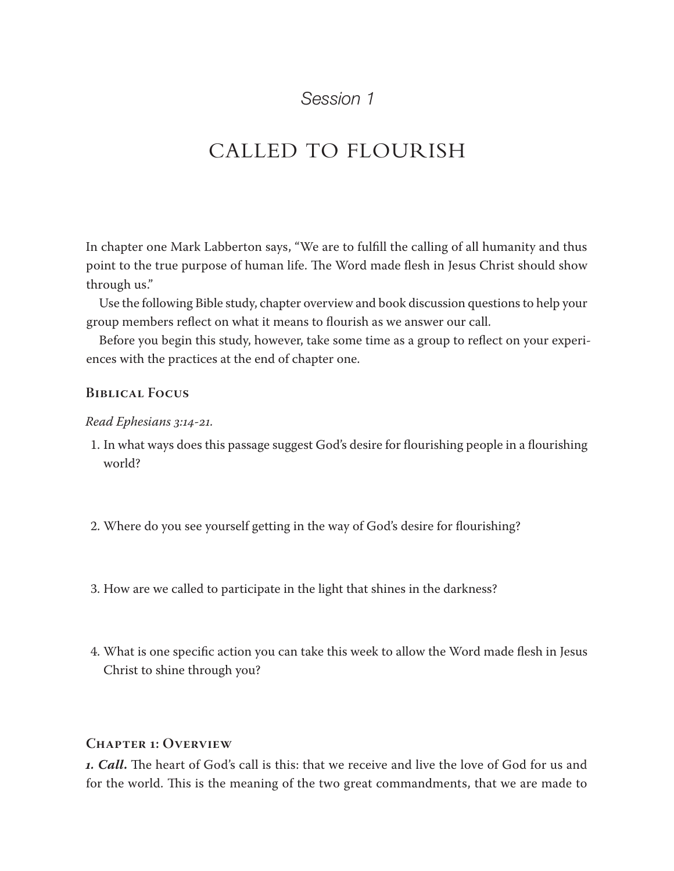## CALLED TO FLOURISH

In chapter one Mark Labberton says, "We are to fulfill the calling of all humanity and thus point to the true purpose of human life. The Word made flesh in Jesus Christ should show through us."

Use the following Bible study, chapter overview and book discussion questions to help your group members reflect on what it means to flourish as we answer our call.

Before you begin this study, however, take some time as a group to reflect on your experiences with the practices at the end of chapter one.

### **Biblical Focus**

#### *Read Ephesians 3:14-21.*

- 1. In what ways does this passage suggest God's desire for flourishing people in a flourishing world?
- 2. Where do you see yourself getting in the way of God's desire for flourishing?
- 3. How are we called to participate in the light that shines in the darkness?
- 4. What is one specific action you can take this week to allow the Word made flesh in Jesus Christ to shine through you?

#### **Chapter 1: Overview**

*1. Call***.** The heart of God's call is this: that we receive and live the love of God for us and for the world. This is the meaning of the two great commandments, that we are made to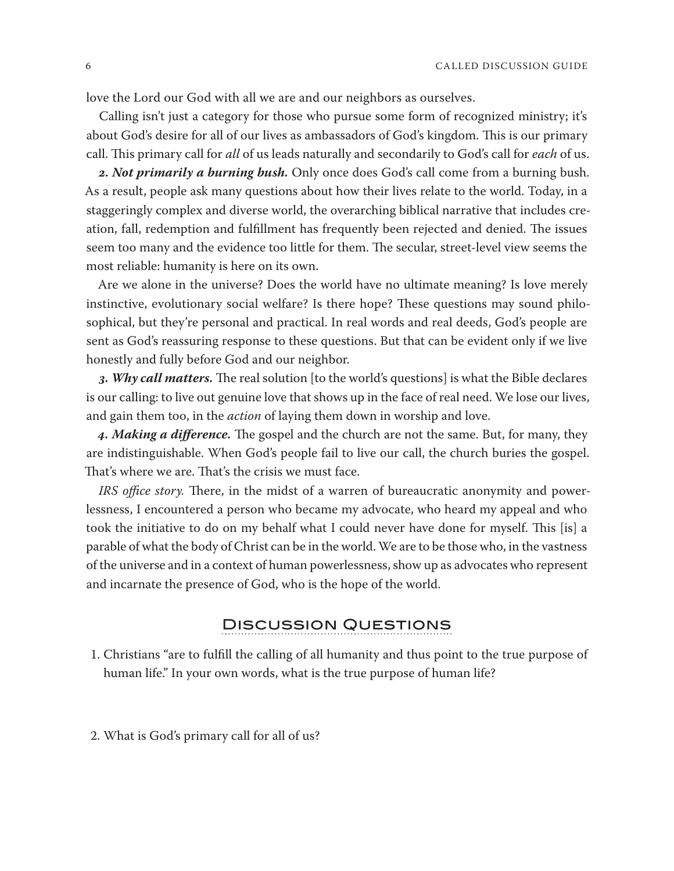love the Lord our God with all we are and our neighbors as ourselves.

Calling isn't just a category for those who pursue some form of recognized ministry; it's about God's desire for all of our lives as ambassadors of God's kingdom. This is our primary call. This primary call for *all* of us leads naturally and secondarily to God's call for *each* of us.

*2. Not primarily a burning bush.* Only once does God's call come from a burning bush. As a result, people ask many questions about how their lives relate to the world. Today, in a staggeringly complex and diverse world, the overarching biblical narrative that includes creation, fall, redemption and fulfillment has frequently been rejected and denied. The issues seem too many and the evidence too little for them. The secular, street-level view seems the most reliable: humanity is here on its own.

Are we alone in the universe? Does the world have no ultimate meaning? Is love merely instinctive, evolutionary social welfare? Is there hope? These questions may sound philosophical, but they're personal and practical. In real words and real deeds, God's people are sent as God's reassuring response to these questions. But that can be evident only if we live honestly and fully before God and our neighbor.

*3. Why call matters.* The real solution [to the world's questions] is what the Bible declares is our calling: to live out genuine love that shows up in the face of real need. We lose our lives, and gain them too, in the *action* of laying them down in worship and love.

*4. Making a difference.* The gospel and the church are not the same. But, for many, they are indistinguishable. When God's people fail to live our call, the church buries the gospel. That's where we are. That's the crisis we must face.

*IRS office story*. There, in the midst of a warren of bureaucratic anonymity and powerlessness, I encountered a person who became my advocate, who heard my appeal and who took the initiative to do on my behalf what I could never have done for myself. This [is] a parable of what the body of Christ can be in the world. We are to be those who, in the vastness of the universe and in a context of human powerlessness, show up as advocates who represent and incarnate the presence of God, who is the hope of the world.

#### Discussion Questions

- 1. Christians "are to fulfill the calling of all humanity and thus point to the true purpose of human life." In your own words, what is the true purpose of human life?
- 2. What is God's primary call for all of us?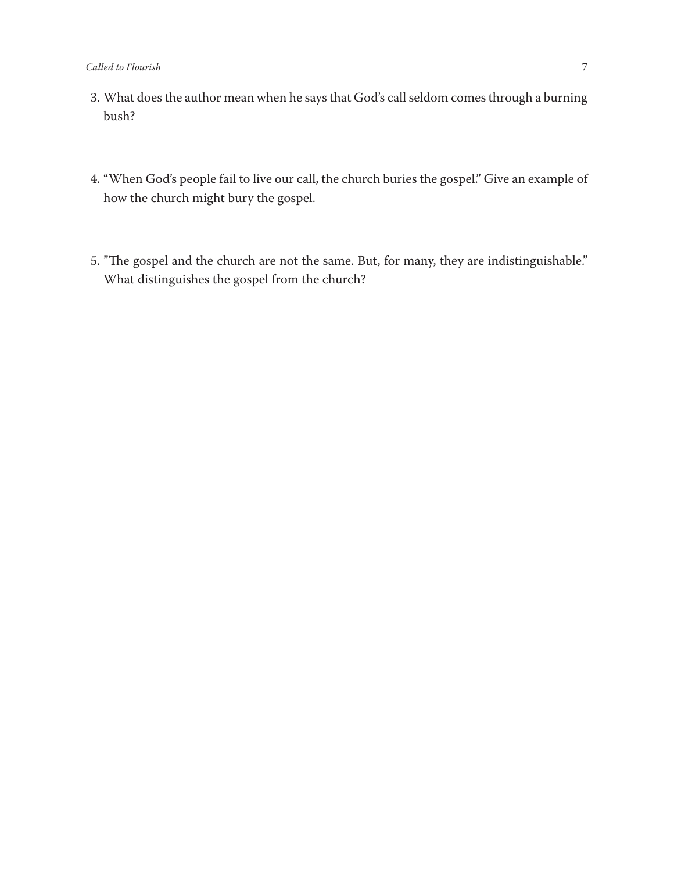- 3. What does the author mean when he says that God's call seldom comes through a burning bush?
- 4. "When God's people fail to live our call, the church buries the gospel." Give an example of how the church might bury the gospel.
- 5. "The gospel and the church are not the same. But, for many, they are indistinguishable." What distinguishes the gospel from the church?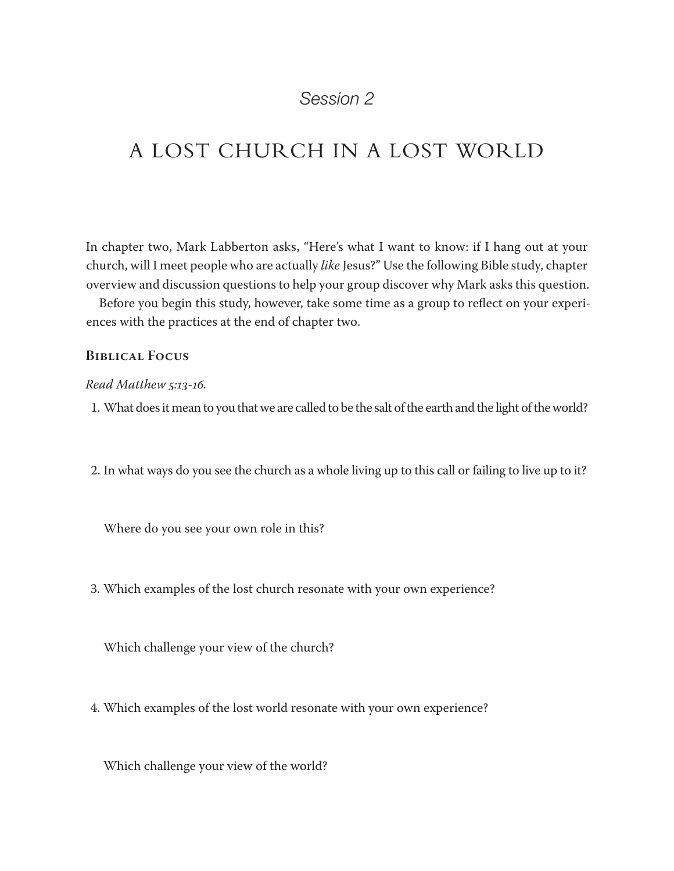## A LOST CHURCH IN A LOST WORLD

In chapter two, Mark Labberton asks, "Here's what I want to know: if I hang out at your church, will I meet people who are actually *like* Jesus?" Use the following Bible study, chapter overview and discussion questions to help your group discover why Mark asks this question.

Before you begin this study, however, take some time as a group to reflect on your experiences with the practices at the end of chapter two.

#### **Biblical Focus**

#### *Read Matthew 5:13-16.*

1. What does it mean to you that we are called to be the salt of the earth and the light of the world?

2. In what ways do you see the church as a whole living up to this call or failing to live up to it?

Where do you see your own role in this?

3. Which examples of the lost church resonate with your own experience?

Which challenge your view of the church?

4. Which examples of the lost world resonate with your own experience?

Which challenge your view of the world?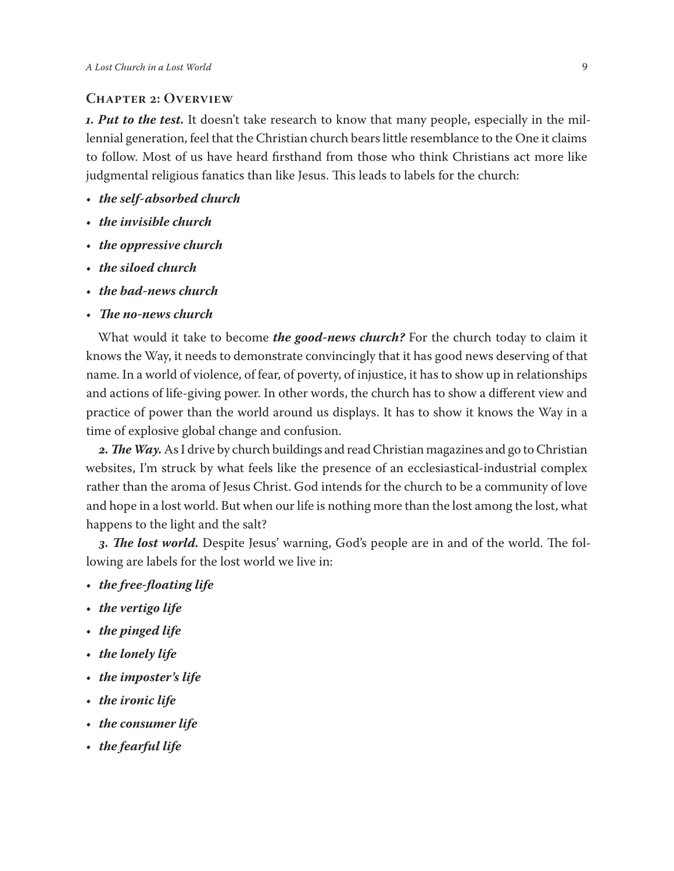#### **Chapter 2: Overview**

*1. Put to the test.* It doesn't take research to know that many people, especially in the millennial generation, feel that the Christian church bears little resemblance to the One it claims to follow. Most of us have heard firsthand from those who think Christians act more like judgmental religious fanatics than like Jesus. This leads to labels for the church:

- *the self-absorbed church*
- *the invisible church*
- *the oppressive church*
- *the siloed church*
- *the bad-news church*
- *The no-news church*

What would it take to become *the good-news church?* For the church today to claim it knows the Way, it needs to demonstrate convincingly that it has good news deserving of that name. In a world of violence, of fear, of poverty, of injustice, it has to show up in relationships and actions of life-giving power. In other words, the church has to show a different view and practice of power than the world around us displays. It has to show it knows the Way in a time of explosive global change and confusion.

*2. The Way.* As I drive by church buildings and read Christian magazines and go to Christian websites, I'm struck by what feels like the presence of an ecclesiastical-industrial complex rather than the aroma of Jesus Christ. God intends for the church to be a community of love and hope in a lost world. But when our life is nothing more than the lost among the lost, what happens to the light and the salt?

*3. The lost world.* Despite Jesus' warning, God's people are in and of the world. The following are labels for the lost world we live in:

- *the free-floating life*
- *the vertigo life*
- *the pinged life*
- *the lonely life*
- *the imposter's life*
- *the ironic life*
- *the consumer life*
- *the fearful life*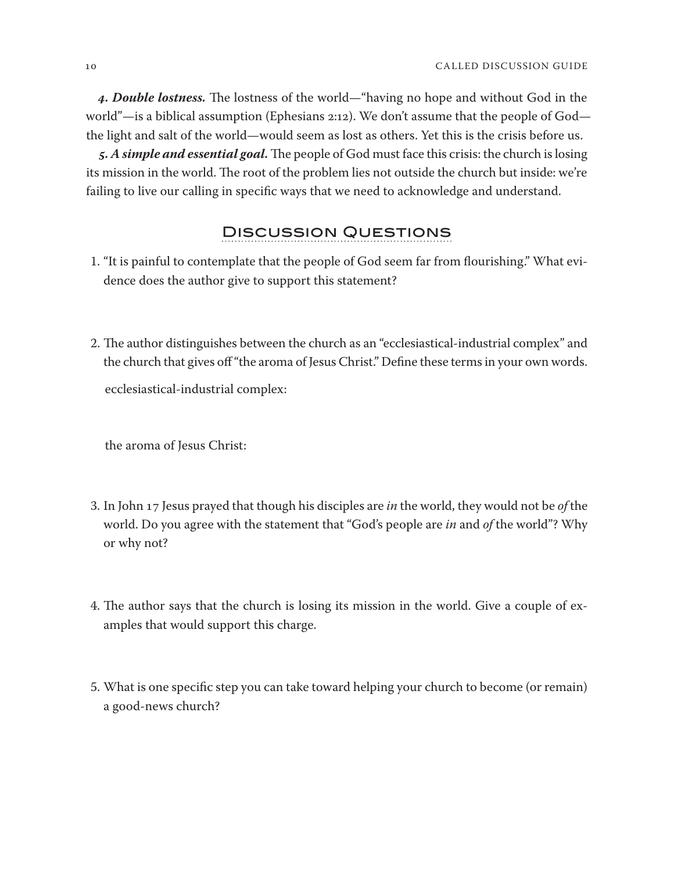*4. Double lostness.* The lostness of the world—"having no hope and without God in the world"—is a biblical assumption (Ephesians 2:12). We don't assume that the people of God the light and salt of the world—would seem as lost as others. Yet this is the crisis before us.

*5. A simple and essential goal.*The people of God must face this crisis: the church is losing its mission in the world. The root of the problem lies not outside the church but inside: we're failing to live our calling in specific ways that we need to acknowledge and understand.

### Discussion Questions

- 1. "It is painful to contemplate that the people of God seem far from flourishing." What evidence does the author give to support this statement?
- 2. The author distinguishes between the church as an "ecclesiastical-industrial complex" and the church that gives off "the aroma of Jesus Christ." Define these terms in your own words. ecclesiastical-industrial complex:

the aroma of Jesus Christ:

- 3. In John 17 Jesus prayed that though his disciples are *in* the world, they would not be *of* the world. Do you agree with the statement that "God's people are *in* and *of* the world"? Why or why not?
- 4. The author says that the church is losing its mission in the world. Give a couple of examples that would support this charge.
- 5. What is one specific step you can take toward helping your church to become (or remain) a good-news church?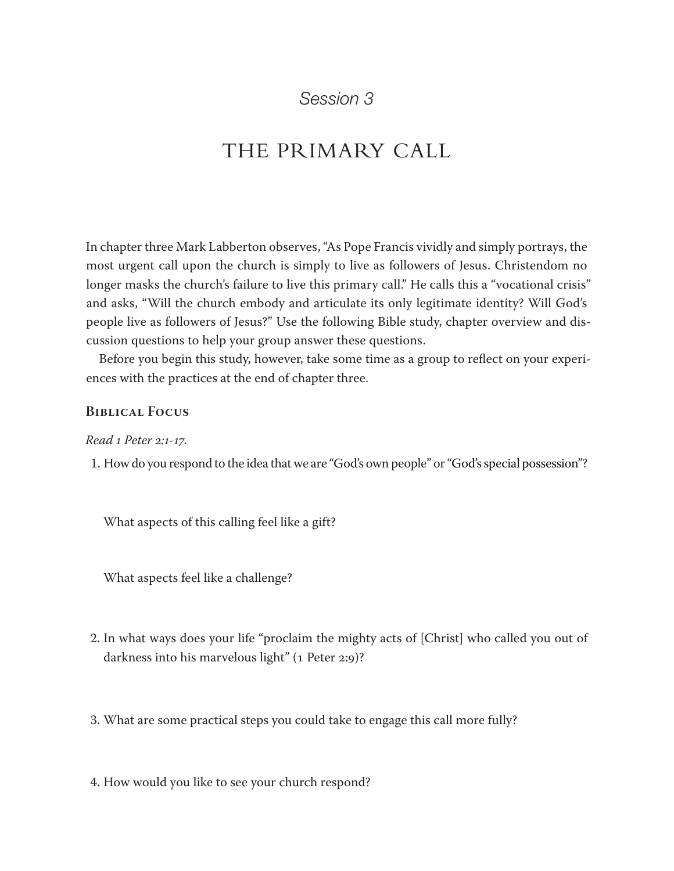## THE PRIMARY CALL

In chapter three Mark Labberton observes, "As Pope Francis vividly and simply portrays, the most urgent call upon the church is simply to live as followers of Jesus. Christendom no longer masks the church's failure to live this primary call." He calls this a "vocational crisis" and asks, "Will the church embody and articulate its only legitimate identity? Will God's people live as followers of Jesus?" Use the following Bible study, chapter overview and discussion questions to help your group answer these questions.

Before you begin this study, however, take some time as a group to reflect on your experiences with the practices at the end of chapter three.

#### **Biblical Focus**

*Read 1 Peter 2:1-17.*

1. How do you respond to the idea that we are "God's own people" or "God's special possession"?

What aspects of this calling feel like a gift?

What aspects feel like a challenge?

- 2. In what ways does your life "proclaim the mighty acts of [Christ] who called you out of darkness into his marvelous light" (1 Peter 2:9)?
- 3. What are some practical steps you could take to engage this call more fully?

4. How would you like to see your church respond?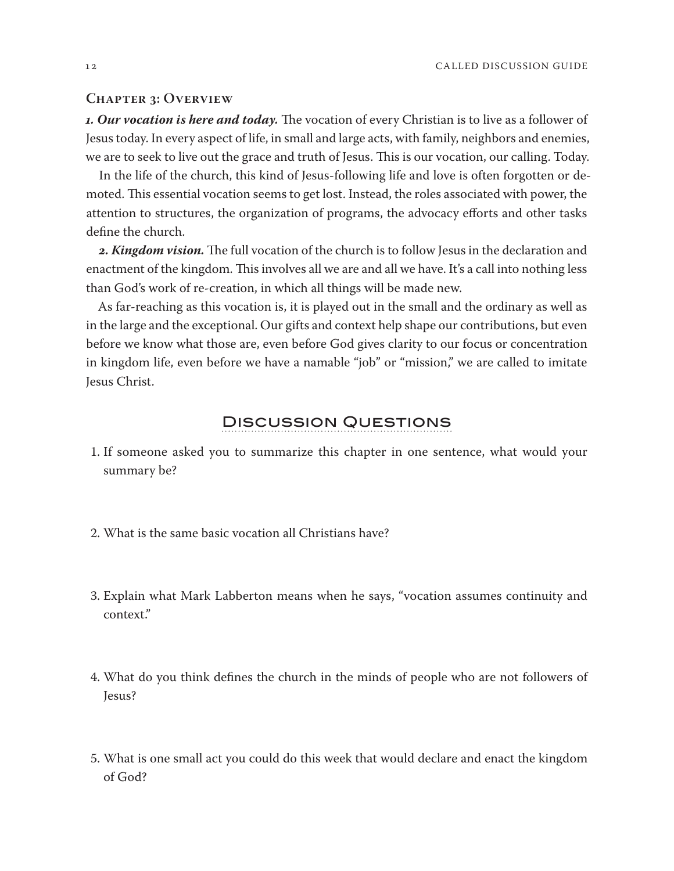#### **Chapter 3: Overview**

*1. Our vocation is here and today.* The vocation of every Christian is to live as a follower of Jesus today. In every aspect of life, in small and large acts, with family, neighbors and enemies, we are to seek to live out the grace and truth of Jesus. This is our vocation, our calling. Today.

In the life of the church, this kind of Jesus-following life and love is often forgotten or demoted. This essential vocation seems to get lost. Instead, the roles associated with power, the attention to structures, the organization of programs, the advocacy efforts and other tasks define the church.

*2. Kingdom vision.* The full vocation of the church is to follow Jesus in the declaration and enactment of the kingdom. This involves all we are and all we have. It's a call into nothing less than God's work of re-creation, in which all things will be made new.

As far-reaching as this vocation is, it is played out in the small and the ordinary as well as in the large and the exceptional. Our gifts and context help shape our contributions, but even before we know what those are, even before God gives clarity to our focus or concentration in kingdom life, even before we have a namable "job" or "mission," we are called to imitate Jesus Christ.

### Discussion Questions

- 1. If someone asked you to summarize this chapter in one sentence, what would your summary be?
- 2. What is the same basic vocation all Christians have?
- 3. Explain what Mark Labberton means when he says, "vocation assumes continuity and context."
- 4. What do you think defines the church in the minds of people who are not followers of Jesus?
- 5. What is one small act you could do this week that would declare and enact the kingdom of God?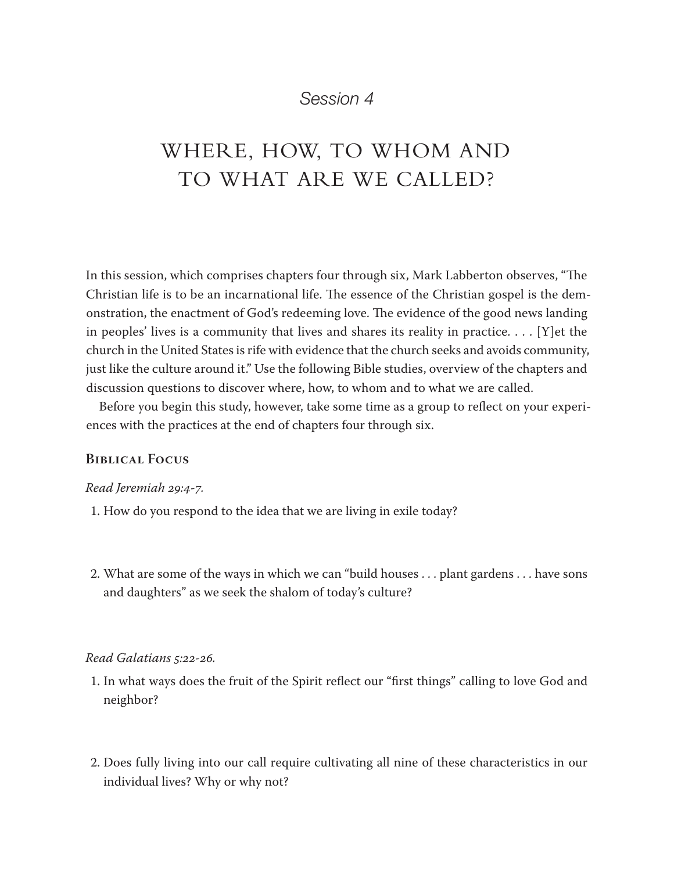## WHERE, HOW, TO WHOM AND TO WHAT ARE WE CALLED?

In this session, which comprises chapters four through six, Mark Labberton observes, "The Christian life is to be an incarnational life. The essence of the Christian gospel is the demonstration, the enactment of God's redeeming love. The evidence of the good news landing in peoples' lives is a community that lives and shares its reality in practice.... [Y] et the church in the United States is rife with evidence that the church seeks and avoids community, just like the culture around it." Use the following Bible studies, overview of the chapters and discussion questions to discover where, how, to whom and to what we are called.

Before you begin this study, however, take some time as a group to reflect on your experiences with the practices at the end of chapters four through six.

#### **Biblical Focus**

#### *Read Jeremiah 29:4-7.*

- 1. How do you respond to the idea that we are living in exile today?
- 2. What are some of the ways in which we can "build houses ... plant gardens ... have sons and daughters" as we seek the shalom of today's culture?

#### *Read Galatians 5:22-26.*

- 1. In what ways does the fruit of the Spirit reflect our "first things" calling to love God and neighbor?
- 2. Does fully living into our call require cultivating all nine of these characteristics in our individual lives? Why or why not?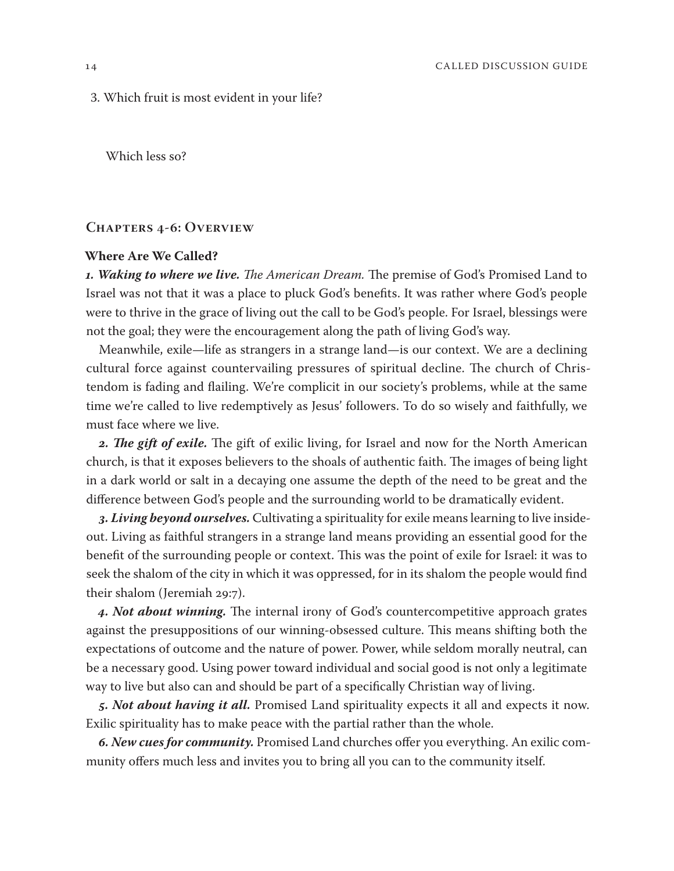3. Which fruit is most evident in your life?

Which less so?

#### **Chapters 4-6: Overview**

#### **Where Are We Called?**

*1. Waking to where we live. The American Dream.* The premise of God's Promised Land to Israel was not that it was a place to pluck God's benefits. It was rather where God's people were to thrive in the grace of living out the call to be God's people. For Israel, blessings were not the goal; they were the encouragement along the path of living God's way.

Meanwhile, exile—life as strangers in a strange land—is our context. We are a declining cultural force against countervailing pressures of spiritual decline. The church of Christendom is fading and flailing. We're complicit in our society's problems, while at the same time we're called to live redemptively as Jesus' followers. To do so wisely and faithfully, we must face where we live.

*2. The gift of exile.* The gift of exilic living, for Israel and now for the North American church, is that it exposes believers to the shoals of authentic faith. The images of being light in a dark world or salt in a decaying one assume the depth of the need to be great and the difference between God's people and the surrounding world to be dramatically evident.

*3. Living beyond ourselves.* Cultivating a spirituality for exile means learning to live insideout. Living as faithful strangers in a strange land means providing an essential good for the benefit of the surrounding people or context. This was the point of exile for Israel: it was to seek the shalom of the city in which it was oppressed, for in its shalom the people would find their shalom (Jeremiah 29:7).

*4. Not about winning.* The internal irony of God's countercompetitive approach grates against the presuppositions of our winning-obsessed culture. This means shifting both the expectations of outcome and the nature of power. Power, while seldom morally neutral, can be a necessary good. Using power toward individual and social good is not only a legitimate way to live but also can and should be part of a specifically Christian way of living.

*5. Not about having it all.* Promised Land spirituality expects it all and expects it now. Exilic spirituality has to make peace with the partial rather than the whole.

*6. New cues for community.* Promised Land churches offer you everything. An exilic community offers much less and invites you to bring all you can to the community itself.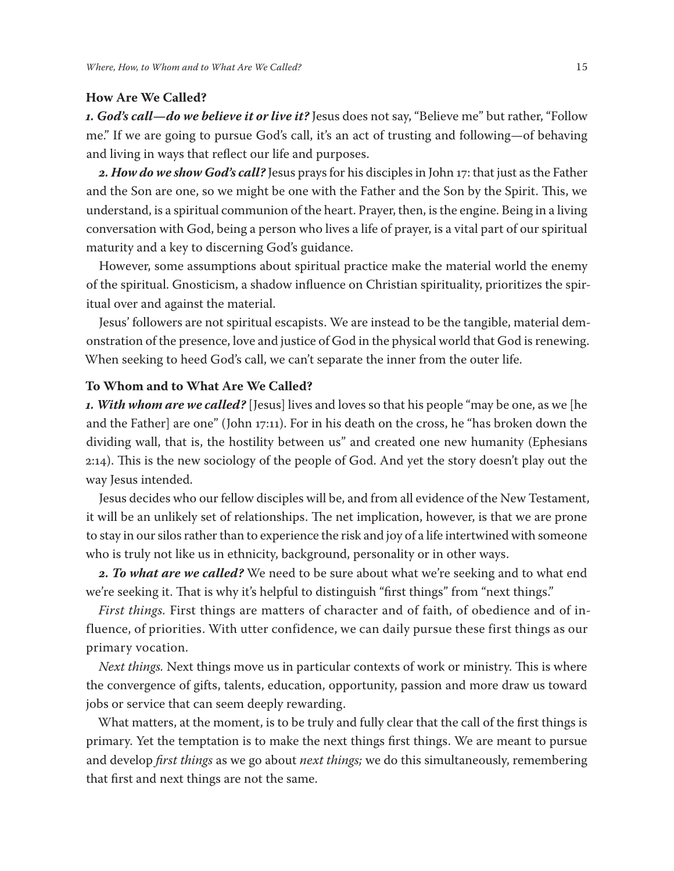#### **How Are We Called?**

*1. God's call—do we believe it or live it?* Jesus does not say, "Believe me" but rather, "Follow me." If we are going to pursue God's call, it's an act of trusting and following—of behaving and living in ways that reflect our life and purposes.

*2. How do we show God's call?* Jesus prays for his disciples in John 17: that just as the Father and the Son are one, so we might be one with the Father and the Son by the Spirit. This, we understand, is a spiritual communion of the heart. Prayer, then, is the engine. Being in a living conversation with God, being a person who lives a life of prayer, is a vital part of our spiritual maturity and a key to discerning God's guidance.

However, some assumptions about spiritual practice make the material world the enemy of the spiritual. Gnosticism, a shadow influence on Christian spirituality, prioritizes the spiritual over and against the material.

Jesus' followers are not spiritual escapists. We are instead to be the tangible, material demonstration of the presence, love and justice of God in the physical world that God is renewing. When seeking to heed God's call, we can't separate the inner from the outer life.

#### **To Whom and to What Are We Called?**

*1. With whom are we called?* [Jesus] lives and loves so that his people "may be one, as we [he and the Father] are one" (John 17:11). For in his death on the cross, he "has broken down the dividing wall, that is, the hostility between us" and created one new humanity (Ephesians 2:14). This is the new sociology of the people of God. And yet the story doesn't play out the way Jesus intended.

Jesus decides who our fellow disciples will be, and from all evidence of the New Testament, it will be an unlikely set of relationships. The net implication, however, is that we are prone to stay in our silos rather than to experience the risk and joy of a life intertwined with someone who is truly not like us in ethnicity, background, personality or in other ways.

*2. To what are we called?* We need to be sure about what we're seeking and to what end we're seeking it. That is why it's helpful to distinguish "first things" from "next things."

*First things.* First things are matters of character and of faith, of obedience and of influence, of priorities. With utter confidence, we can daily pursue these first things as our primary vocation.

*Next things.* Next things move us in particular contexts of work or ministry. This is where the convergence of gifts, talents, education, opportunity, passion and more draw us toward jobs or service that can seem deeply rewarding.

What matters, at the moment, is to be truly and fully clear that the call of the first things is primary. Yet the temptation is to make the next things first things. We are meant to pursue and develop *first things* as we go about *next things;* we do this simultaneously, remembering that first and next things are not the same.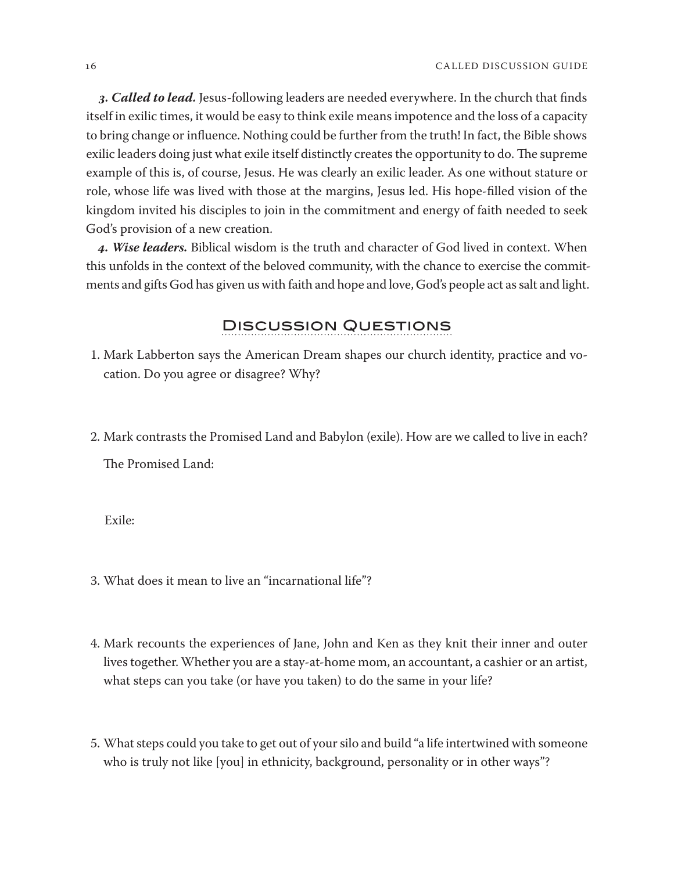*3. Called to lead.* Jesus-following leaders are needed everywhere. In the church that finds itself in exilic times, it would be easy to think exile means impotence and the loss of a capacity to bring change or influence. Nothing could be further from the truth! In fact, the Bible shows exilic leaders doing just what exile itself distinctly creates the opportunity to do. The supreme example of this is, of course, Jesus. He was clearly an exilic leader. As one without stature or role, whose life was lived with those at the margins, Jesus led. His hope-filled vision of the kingdom invited his disciples to join in the commitment and energy of faith needed to seek God's provision of a new creation.

*4. Wise leaders.* Biblical wisdom is the truth and character of God lived in context. When this unfolds in the context of the beloved community, with the chance to exercise the commitments and gifts God has given us with faith and hope and love, God's people act as salt and light.

### Discussion Questions

- 1. Mark Labberton says the American Dream shapes our church identity, practice and vocation. Do you agree or disagree? Why?
- 2. Mark contrasts the Promised Land and Babylon (exile). How are we called to live in each?

The Promised Land:

Exile:

- 3. What does it mean to live an "incarnational life"?
- 4. Mark recounts the experiences of Jane, John and Ken as they knit their inner and outer lives together. Whether you are a stay-at-home mom, an accountant, a cashier or an artist, what steps can you take (or have you taken) to do the same in your life?
- 5. What steps could you take to get out of your silo and build "a life intertwined with someone who is truly not like [you] in ethnicity, background, personality or in other ways"?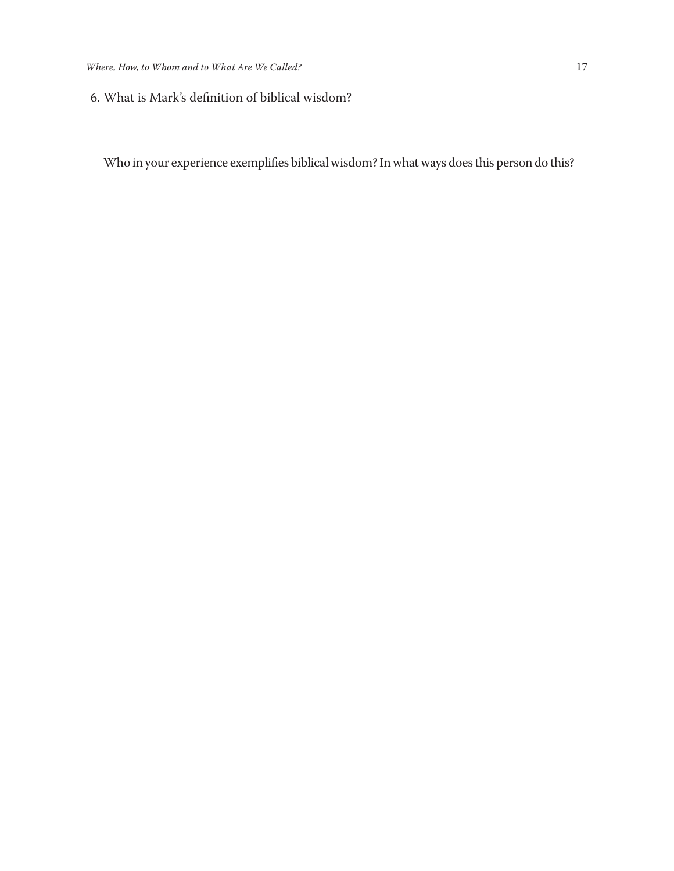6. What is Mark's definition of biblical wisdom?

Who in your experience exemplifies biblical wisdom? In what ways does this person do this?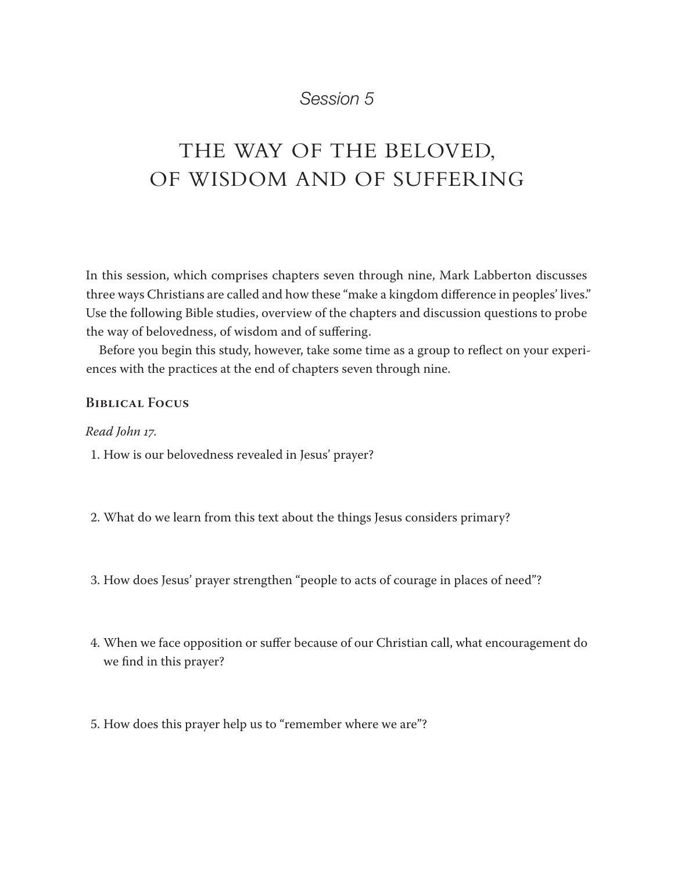## THE WAY OF THE BELOVED, OF WISDOM AND OF SUFFERING

In this session, which comprises chapters seven through nine, Mark Labberton discusses three ways Christians are called and how these "make a kingdom difference in peoples' lives." Use the following Bible studies, overview of the chapters and discussion questions to probe the way of belovedness, of wisdom and of suffering.

Before you begin this study, however, take some time as a group to reflect on your experiences with the practices at the end of chapters seven through nine.

#### **Biblical Focus**

*Read John 17.*

1. How is our belovedness revealed in Jesus' prayer?

- 2. What do we learn from this text about the things Jesus considers primary?
- 3. How does Jesus' prayer strengthen "people to acts of courage in places of need"?
- 4. When we face opposition or suffer because of our Christian call, what encouragement do we find in this prayer?
- 5. How does this prayer help us to "remember where we are"?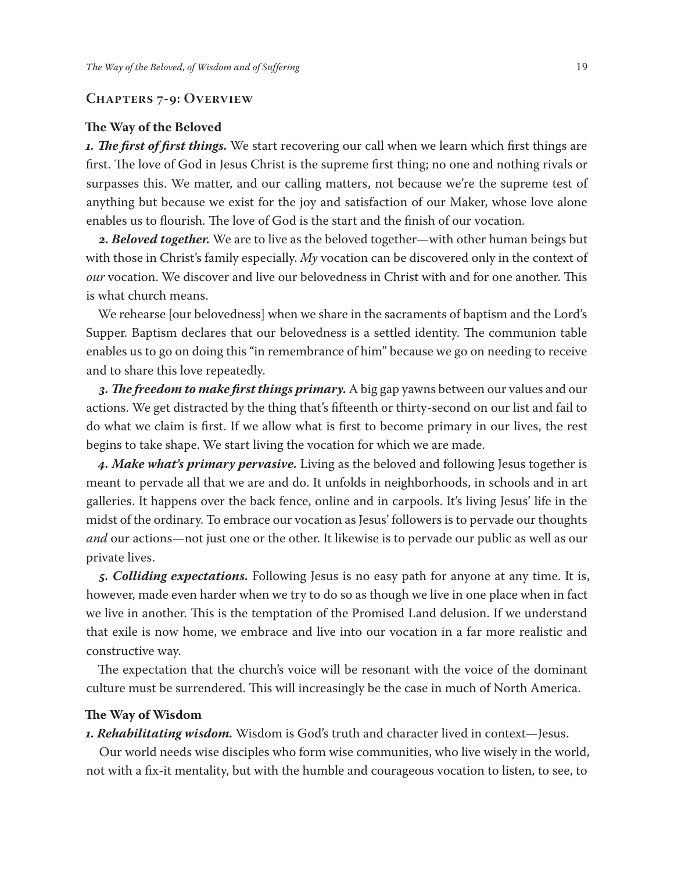#### **Chapters 7-9: Overview**

#### **The Way of the Beloved**

*1. The first of first things.* We start recovering our call when we learn which first things are first. The love of God in Jesus Christ is the supreme first thing; no one and nothing rivals or surpasses this. We matter, and our calling matters, not because we're the supreme test of anything but because we exist for the joy and satisfaction of our Maker, whose love alone enables us to flourish. The love of God is the start and the finish of our vocation.

*2. Beloved together.* We are to live as the beloved together—with other human beings but with those in Christ's family especially. *My* vocation can be discovered only in the context of *our* vocation. We discover and live our belovedness in Christ with and for one another. This is what church means.

We rehearse [our belovedness] when we share in the sacraments of baptism and the Lord's Supper. Baptism declares that our belovedness is a settled identity. The communion table enables us to go on doing this "in remembrance of him" because we go on needing to receive and to share this love repeatedly.

*3. The freedom to make first things primary.* A big gap yawns between our values and our actions. We get distracted by the thing that's fifteenth or thirty-second on our list and fail to do what we claim is first. If we allow what is first to become primary in our lives, the rest begins to take shape. We start living the vocation for which we are made.

*4. Make what's primary pervasive.* Living as the beloved and following Jesus together is meant to pervade all that we are and do. It unfolds in neighborhoods, in schools and in art galleries. It happens over the back fence, online and in carpools. It's living Jesus' life in the midst of the ordinary. To embrace our vocation as Jesus' followers is to pervade our thoughts *and* our actions—not just one or the other. It likewise is to pervade our public as well as our private lives.

*5. Colliding expectations.* Following Jesus is no easy path for anyone at any time. It is, however, made even harder when we try to do so as though we live in one place when in fact we live in another. This is the temptation of the Promised Land delusion. If we understand that exile is now home, we embrace and live into our vocation in a far more realistic and constructive way.

The expectation that the church's voice will be resonant with the voice of the dominant culture must be surrendered. This will increasingly be the case in much of North America.

#### **The Way of Wisdom**

*1. Rehabilitating wisdom.* Wisdom is God's truth and character lived in context—Jesus.

Our world needs wise disciples who form wise communities, who live wisely in the world, not with a fix-it mentality, but with the humble and courageous vocation to listen, to see, to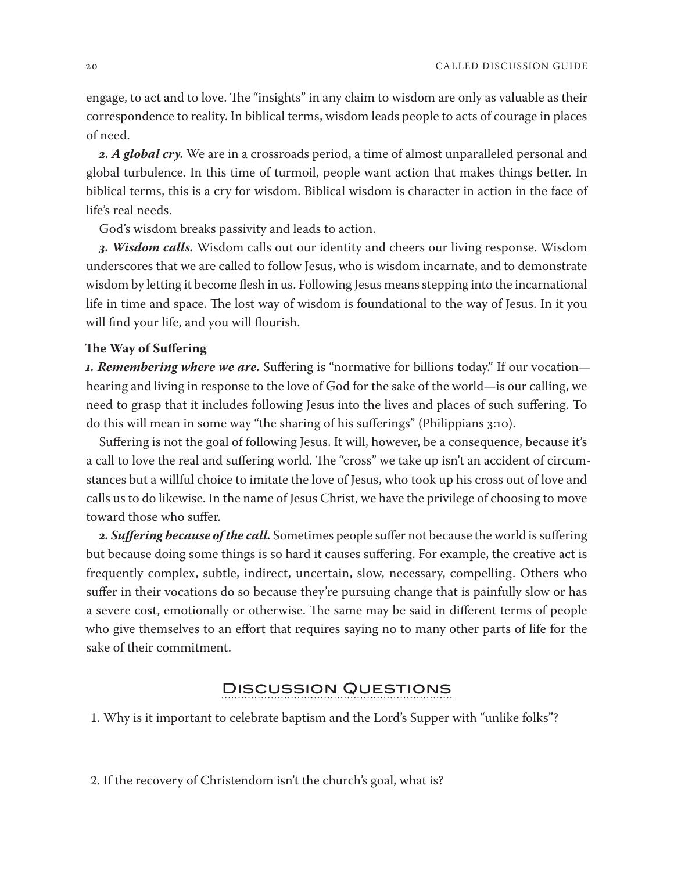engage, to act and to love. The "insights" in any claim to wisdom are only as valuable as their correspondence to reality. In biblical terms, wisdom leads people to acts of courage in places of need.

*2. A global cry.* We are in a crossroads period, a time of almost unparalleled personal and global turbulence. In this time of turmoil, people want action that makes things better. In biblical terms, this is a cry for wisdom. Biblical wisdom is character in action in the face of life's real needs.

God's wisdom breaks passivity and leads to action.

*3. Wisdom calls.* Wisdom calls out our identity and cheers our living response. Wisdom underscores that we are called to follow Jesus, who is wisdom incarnate, and to demonstrate wisdom by letting it become flesh in us. Following Jesus means stepping into the incarnational life in time and space. The lost way of wisdom is foundational to the way of Jesus. In it you will find your life, and you will flourish.

#### **The Way of Suffering**

*1. Remembering where we are.* Suffering is "normative for billions today." If our vocation hearing and living in response to the love of God for the sake of the world—is our calling, we need to grasp that it includes following Jesus into the lives and places of such suffering. To do this will mean in some way "the sharing of his sufferings" (Philippians 3:10).

Suffering is not the goal of following Jesus. It will, however, be a consequence, because it's a call to love the real and suffering world. The "cross" we take up isn't an accident of circumstances but a willful choice to imitate the love of Jesus, who took up his cross out of love and calls us to do likewise. In the name of Jesus Christ, we have the privilege of choosing to move toward those who suffer.

*2. Suffering because of the call.* Sometimes people suffer not because the world is suffering but because doing some things is so hard it causes suffering. For example, the creative act is frequently complex, subtle, indirect, uncertain, slow, necessary, compelling. Others who suffer in their vocations do so because they're pursuing change that is painfully slow or has a severe cost, emotionally or otherwise. The same may be said in different terms of people who give themselves to an effort that requires saying no to many other parts of life for the sake of their commitment.

### Discussion Questions

1. Why is it important to celebrate baptism and the Lord's Supper with "unlike folks"?

2. If the recovery of Christendom isn't the church's goal, what is?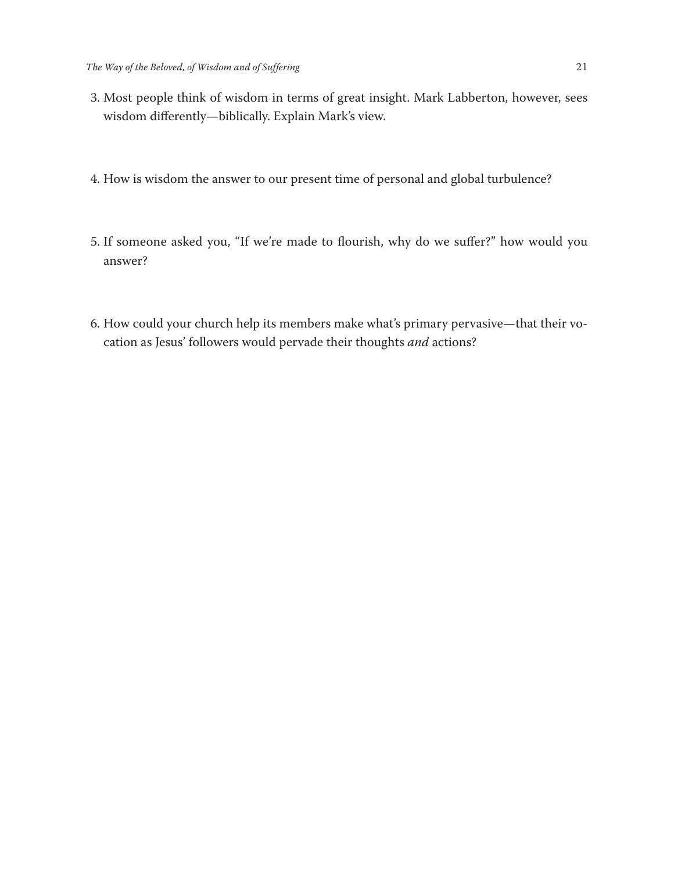- 3. Most people think of wisdom in terms of great insight. Mark Labberton, however, sees wisdom differently—biblically. Explain Mark's view.
- 4. How is wisdom the answer to our present time of personal and global turbulence?
- 5. If someone asked you, "If we're made to flourish, why do we suffer?" how would you answer?
- 6. How could your church help its members make what's primary pervasive—that their vocation as Jesus' followers would pervade their thoughts *and* actions?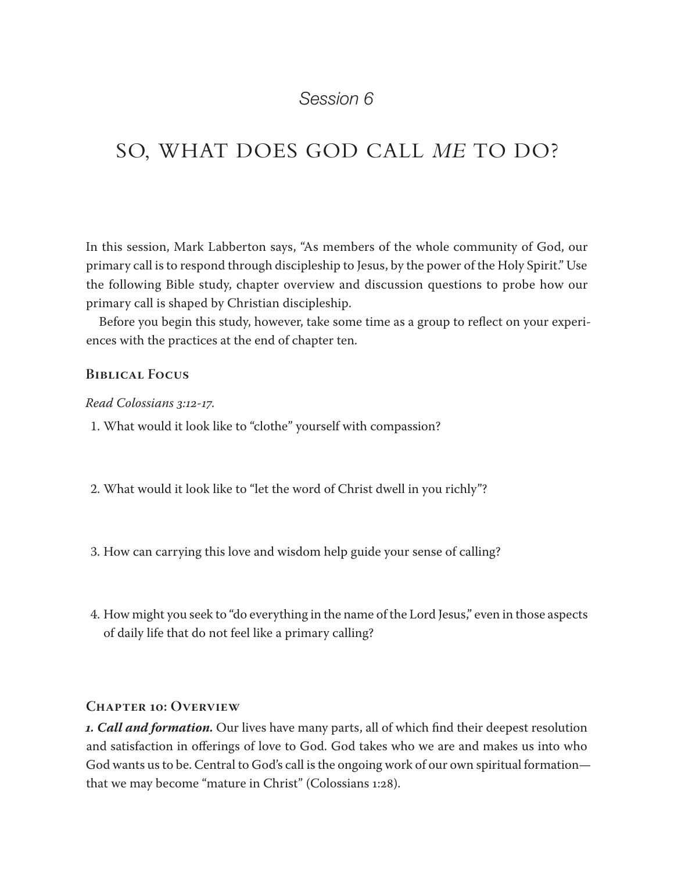## SO, WHAT DOES GOD CALL *ME* TO DO?

In this session, Mark Labberton says, "As members of the whole community of God, our primary call is to respond through discipleship to Jesus, by the power of the Holy Spirit." Use the following Bible study, chapter overview and discussion questions to probe how our primary call is shaped by Christian discipleship.

Before you begin this study, however, take some time as a group to reflect on your experiences with the practices at the end of chapter ten.

#### **Biblical Focus**

#### *Read Colossians 3:12-17.*

1. What would it look like to "clothe" yourself with compassion?

- 2. What would it look like to "let the word of Christ dwell in you richly"?
- 3. How can carrying this love and wisdom help guide your sense of calling?
- 4. How might you seek to "do everything in the name of the Lord Jesus," even in those aspects of daily life that do not feel like a primary calling?

#### **Chapter 10: Overview**

*1. Call and formation.* Our lives have many parts, all of which find their deepest resolution and satisfaction in offerings of love to God. God takes who we are and makes us into who God wants us to be. Central to God's call is the ongoing work of our own spiritual formation that we may become "mature in Christ" (Colossians 1:28).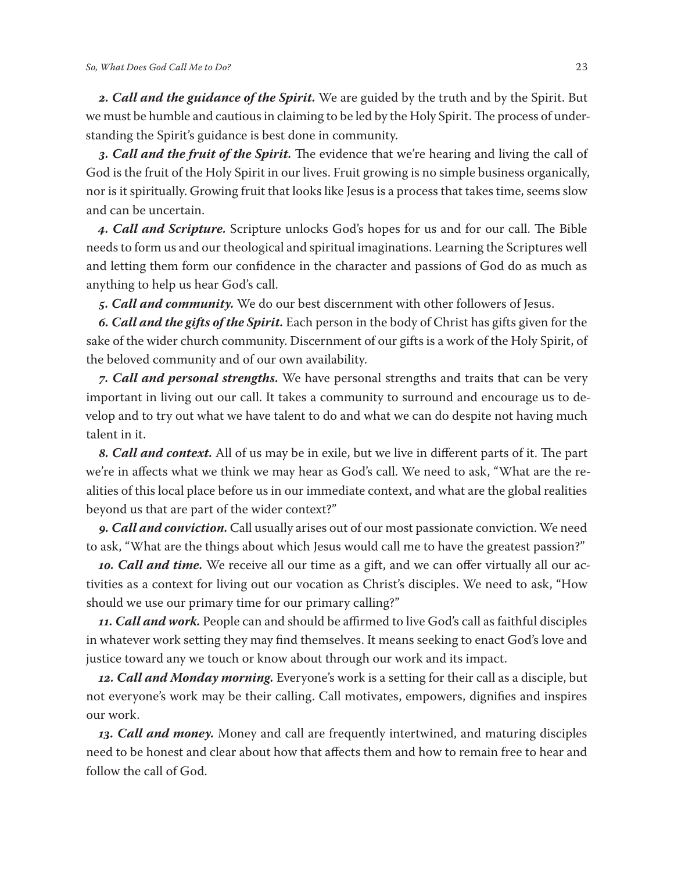*2. Call and the guidance of the Spirit.* We are guided by the truth and by the Spirit. But we must be humble and cautious in claiming to be led by the Holy Spirit. The process of understanding the Spirit's guidance is best done in community.

*3. Call and the fruit of the Spirit.* The evidence that we're hearing and living the call of God is the fruit of the Holy Spirit in our lives. Fruit growing is no simple business organically, nor is it spiritually. Growing fruit that looks like Jesus is a process that takes time, seems slow and can be uncertain.

*4. Call and Scripture.* Scripture unlocks God's hopes for us and for our call. The Bible needs to form us and our theological and spiritual imaginations. Learning the Scriptures well and letting them form our confidence in the character and passions of God do as much as anything to help us hear God's call.

*5. Call and community.* We do our best discernment with other followers of Jesus.

*6. Call and the gifts of the Spirit.* Each person in the body of Christ has gifts given for the sake of the wider church community. Discernment of our gifts is a work of the Holy Spirit, of the beloved community and of our own availability.

*7. Call and personal strengths.* We have personal strengths and traits that can be very important in living out our call. It takes a community to surround and encourage us to develop and to try out what we have talent to do and what we can do despite not having much talent in it.

*8. Call and context.* All of us may be in exile, but we live in different parts of it. The part we're in affects what we think we may hear as God's call. We need to ask, "What are the realities of this local place before us in our immediate context, and what are the global realities beyond us that are part of the wider context?"

*9. Call and conviction.* Call usually arises out of our most passionate conviction. We need to ask, "What are the things about which Jesus would call me to have the greatest passion?"

*10. Call and time.* We receive all our time as a gift, and we can offer virtually all our activities as a context for living out our vocation as Christ's disciples. We need to ask, "How should we use our primary time for our primary calling?"

*11. Call and work.* People can and should be affirmed to live God's call as faithful disciples in whatever work setting they may find themselves. It means seeking to enact God's love and justice toward any we touch or know about through our work and its impact.

*12. Call and Monday morning.* Everyone's work is a setting for their call as a disciple, but not everyone's work may be their calling. Call motivates, empowers, dignifies and inspires our work.

*13. Call and money.* Money and call are frequently intertwined, and maturing disciples need to be honest and clear about how that affects them and how to remain free to hear and follow the call of God.